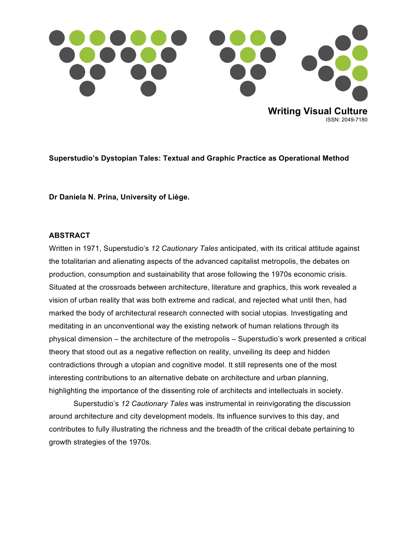

**Superstudio's Dystopian Tales: Textual and Graphic Practice as Operational Method**

**Dr Daniela N. Prina, University of Liège.**

#### **ABSTRACT**

Written in 1971, Superstudio's *12 Cautionary Tales* anticipated, with its critical attitude against the totalitarian and alienating aspects of the advanced capitalist metropolis, the debates on production, consumption and sustainability that arose following the 1970s economic crisis. Situated at the crossroads between architecture, literature and graphics, this work revealed a vision of urban reality that was both extreme and radical, and rejected what until then, had marked the body of architectural research connected with social utopias. Investigating and meditating in an unconventional way the existing network of human relations through its physical dimension – the architecture of the metropolis – Superstudio's work presented a critical theory that stood out as a negative reflection on reality, unveiling its deep and hidden contradictions through a utopian and cognitive model. It still represents one of the most interesting contributions to an alternative debate on architecture and urban planning, highlighting the importance of the dissenting role of architects and intellectuals in society.

Superstudio's *12 Cautionary Tales* was instrumental in reinvigorating the discussion around architecture and city development models. Its influence survives to this day, and contributes to fully illustrating the richness and the breadth of the critical debate pertaining to growth strategies of the 1970s.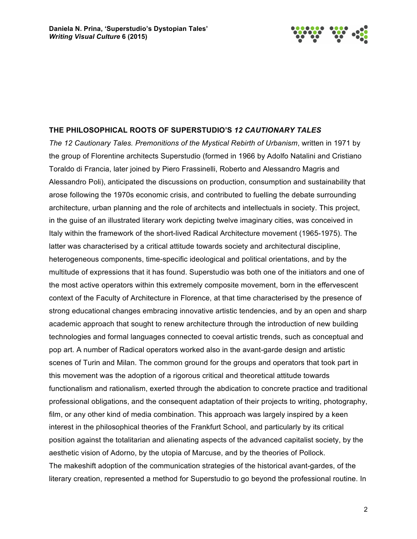

#### **THE PHILOSOPHICAL ROOTS OF SUPERSTUDIO'S** *12 CAUTIONARY TALES*

*The 12 Cautionary Tales. Premonitions of the Mystical Rebirth of Urbanism*, written in 1971 by the group of Florentine architects Superstudio (formed in 1966 by Adolfo Natalini and Cristiano Toraldo di Francia, later joined by Piero Frassinelli, Roberto and Alessandro Magris and Alessandro Poli), anticipated the discussions on production, consumption and sustainability that arose following the 1970s economic crisis, and contributed to fuelling the debate surrounding architecture, urban planning and the role of architects and intellectuals in society. This project, in the guise of an illustrated literary work depicting twelve imaginary cities, was conceived in Italy within the framework of the short-lived Radical Architecture movement (1965-1975). The latter was characterised by a critical attitude towards society and architectural discipline, heterogeneous components, time-specific ideological and political orientations, and by the multitude of expressions that it has found. Superstudio was both one of the initiators and one of the most active operators within this extremely composite movement, born in the effervescent context of the Faculty of Architecture in Florence, at that time characterised by the presence of strong educational changes embracing innovative artistic tendencies, and by an open and sharp academic approach that sought to renew architecture through the introduction of new building technologies and formal languages connected to coeval artistic trends, such as conceptual and pop art. A number of Radical operators worked also in the avant-garde design and artistic scenes of Turin and Milan. The common ground for the groups and operators that took part in this movement was the adoption of a rigorous critical and theoretical attitude towards functionalism and rationalism, exerted through the abdication to concrete practice and traditional professional obligations, and the consequent adaptation of their projects to writing, photography, film, or any other kind of media combination. This approach was largely inspired by a keen interest in the philosophical theories of the Frankfurt School, and particularly by its critical position against the totalitarian and alienating aspects of the advanced capitalist society, by the aesthetic vision of Adorno, by the utopia of Marcuse, and by the theories of Pollock. The makeshift adoption of the communication strategies of the historical avant-gardes, of the literary creation, represented a method for Superstudio to go beyond the professional routine. In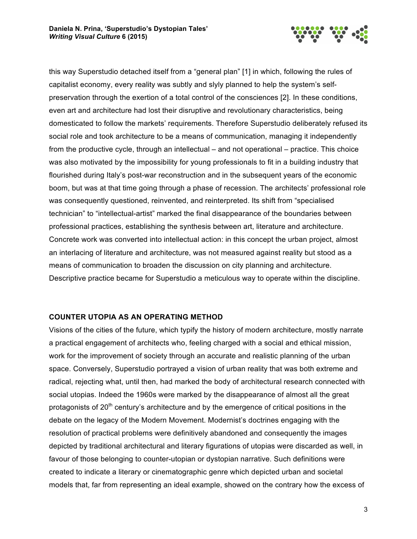

this way Superstudio detached itself from a "general plan" [1] in which, following the rules of capitalist economy, every reality was subtly and slyly planned to help the system's selfpreservation through the exertion of a total control of the consciences [2]. In these conditions, even art and architecture had lost their disruptive and revolutionary characteristics, being domesticated to follow the markets' requirements. Therefore Superstudio deliberately refused its social role and took architecture to be a means of communication, managing it independently from the productive cycle, through an intellectual – and not operational – practice. This choice was also motivated by the impossibility for young professionals to fit in a building industry that flourished during Italy's post-war reconstruction and in the subsequent years of the economic boom, but was at that time going through a phase of recession. The architects' professional role was consequently questioned, reinvented, and reinterpreted. Its shift from "specialised technician" to "intellectual-artist" marked the final disappearance of the boundaries between professional practices, establishing the synthesis between art, literature and architecture. Concrete work was converted into intellectual action: in this concept the urban project, almost an interlacing of literature and architecture, was not measured against reality but stood as a means of communication to broaden the discussion on city planning and architecture. Descriptive practice became for Superstudio a meticulous way to operate within the discipline.

#### **COUNTER UTOPIA AS AN OPERATING METHOD**

Visions of the cities of the future, which typify the history of modern architecture, mostly narrate a practical engagement of architects who, feeling charged with a social and ethical mission, work for the improvement of society through an accurate and realistic planning of the urban space. Conversely, Superstudio portrayed a vision of urban reality that was both extreme and radical, rejecting what, until then, had marked the body of architectural research connected with social utopias. Indeed the 1960s were marked by the disappearance of almost all the great protagonists of  $20<sup>th</sup>$  century's architecture and by the emergence of critical positions in the debate on the legacy of the Modern Movement. Modernist's doctrines engaging with the resolution of practical problems were definitively abandoned and consequently the images depicted by traditional architectural and literary figurations of utopias were discarded as well, in favour of those belonging to counter-utopian or dystopian narrative. Such definitions were created to indicate a literary or cinematographic genre which depicted urban and societal models that, far from representing an ideal example, showed on the contrary how the excess of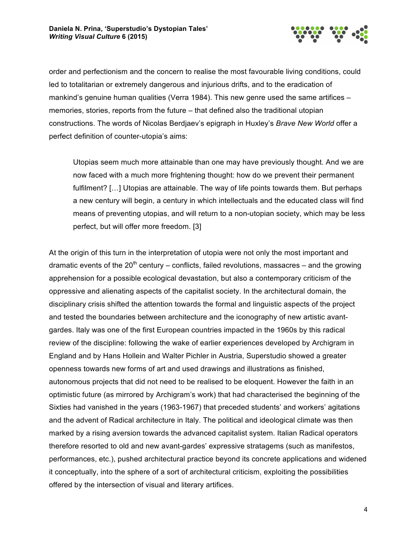

order and perfectionism and the concern to realise the most favourable living conditions, could led to totalitarian or extremely dangerous and injurious drifts, and to the eradication of mankind's genuine human qualities (Verra 1984). This new genre used the same artifices – memories, stories, reports from the future – that defined also the traditional utopian constructions. The words of Nicolas Berdjaev's epigraph in Huxley's *Brave New World* offer a perfect definition of counter-utopia's aims:

Utopias seem much more attainable than one may have previously thought. And we are now faced with a much more frightening thought: how do we prevent their permanent fulfilment? [...] Utopias are attainable. The way of life points towards them. But perhaps a new century will begin, a century in which intellectuals and the educated class will find means of preventing utopias, and will return to a non-utopian society, which may be less perfect, but will offer more freedom. [3]

At the origin of this turn in the interpretation of utopia were not only the most important and dramatic events of the 20<sup>th</sup> century – conflicts, failed revolutions, massacres – and the growing apprehension for a possible ecological devastation, but also a contemporary criticism of the oppressive and alienating aspects of the capitalist society. In the architectural domain, the disciplinary crisis shifted the attention towards the formal and linguistic aspects of the project and tested the boundaries between architecture and the iconography of new artistic avantgardes. Italy was one of the first European countries impacted in the 1960s by this radical review of the discipline: following the wake of earlier experiences developed by Archigram in England and by Hans Hollein and Walter Pichler in Austria, Superstudio showed a greater openness towards new forms of art and used drawings and illustrations as finished, autonomous projects that did not need to be realised to be eloquent. However the faith in an optimistic future (as mirrored by Archigram's work) that had characterised the beginning of the Sixties had vanished in the years (1963-1967) that preceded students' and workers' agitations and the advent of Radical architecture in Italy. The political and ideological climate was then marked by a rising aversion towards the advanced capitalist system. Italian Radical operators therefore resorted to old and new avant-gardes' expressive stratagems (such as manifestos, performances, etc.), pushed architectural practice beyond its concrete applications and widened it conceptually, into the sphere of a sort of architectural criticism, exploiting the possibilities offered by the intersection of visual and literary artifices.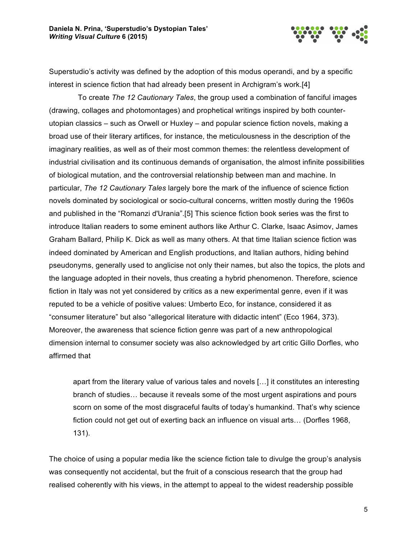

Superstudio's activity was defined by the adoption of this modus operandi, and by a specific interest in science fiction that had already been present in Archigram's work.[4]

To create *The 12 Cautionary Tales*, the group used a combination of fanciful images (drawing, collages and photomontages) and prophetical writings inspired by both counterutopian classics – such as Orwell or Huxley – and popular science fiction novels, making a broad use of their literary artifices, for instance, the meticulousness in the description of the imaginary realities, as well as of their most common themes: the relentless development of industrial civilisation and its continuous demands of organisation, the almost infinite possibilities of biological mutation, and the controversial relationship between man and machine. In particular, *The 12 Cautionary Tales* largely bore the mark of the influence of science fiction novels dominated by sociological or socio-cultural concerns, written mostly during the 1960s and published in the "Romanzi d'Urania".[5] This science fiction book series was the first to introduce Italian readers to some eminent authors like Arthur C. Clarke, Isaac Asimov, James Graham Ballard, Philip K. Dick as well as many others. At that time Italian science fiction was indeed dominated by American and English productions, and Italian authors, hiding behind pseudonyms, generally used to anglicise not only their names, but also the topics, the plots and the language adopted in their novels, thus creating a hybrid phenomenon. Therefore, science fiction in Italy was not yet considered by critics as a new experimental genre, even if it was reputed to be a vehicle of positive values: Umberto Eco, for instance, considered it as "consumer literature" but also "allegorical literature with didactic intent" (Eco 1964, 373). Moreover, the awareness that science fiction genre was part of a new anthropological dimension internal to consumer society was also acknowledged by art critic Gillo Dorfles, who affirmed that

apart from the literary value of various tales and novels […] it constitutes an interesting branch of studies… because it reveals some of the most urgent aspirations and pours scorn on some of the most disgraceful faults of today's humankind. That's why science fiction could not get out of exerting back an influence on visual arts… (Dorfles 1968, 131).

The choice of using a popular media like the science fiction tale to divulge the group's analysis was consequently not accidental, but the fruit of a conscious research that the group had realised coherently with his views, in the attempt to appeal to the widest readership possible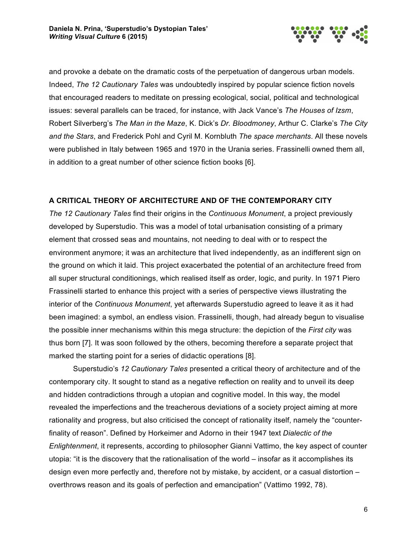

and provoke a debate on the dramatic costs of the perpetuation of dangerous urban models. Indeed, *The 12 Cautionary Tales* was undoubtedly inspired by popular science fiction novels that encouraged readers to meditate on pressing ecological, social, political and technological issues: several parallels can be traced, for instance, with Jack Vance's *The Houses of Izsm*, Robert Silverberg's *The Man in the Maze*, K. Dick's *Dr. Bloodmoney*, Arthur C. Clarke's *The City and the Stars*, and Frederick Pohl and Cyril M. Kornbluth *The space merchants*. All these novels were published in Italy between 1965 and 1970 in the Urania series. Frassinelli owned them all, in addition to a great number of other science fiction books [6].

# **A CRITICAL THEORY OF ARCHITECTURE AND OF THE CONTEMPORARY CITY**

*The 12 Cautionary Tales* find their origins in the *Continuous Monument*, a project previously developed by Superstudio. This was a model of total urbanisation consisting of a primary element that crossed seas and mountains, not needing to deal with or to respect the environment anymore; it was an architecture that lived independently, as an indifferent sign on the ground on which it laid. This project exacerbated the potential of an architecture freed from all super structural conditionings, which realised itself as order, logic, and purity. In 1971 Piero Frassinelli started to enhance this project with a series of perspective views illustrating the interior of the *Continuous Monument*, yet afterwards Superstudio agreed to leave it as it had been imagined: a symbol, an endless vision. Frassinelli, though, had already begun to visualise the possible inner mechanisms within this mega structure: the depiction of the *First city* was thus born [7]. It was soon followed by the others, becoming therefore a separate project that marked the starting point for a series of didactic operations [8].

Superstudio's *12 Cautionary Tales* presented a critical theory of architecture and of the contemporary city. It sought to stand as a negative reflection on reality and to unveil its deep and hidden contradictions through a utopian and cognitive model. In this way, the model revealed the imperfections and the treacherous deviations of a society project aiming at more rationality and progress, but also criticised the concept of rationality itself, namely the "counterfinality of reason". Defined by Horkeimer and Adorno in their 1947 text *Dialectic of the Enlightenment*, it represents, according to philosopher Gianni Vattimo, the key aspect of counter utopia: "it is the discovery that the rationalisation of the world – insofar as it accomplishes its design even more perfectly and, therefore not by mistake, by accident, or a casual distortion – overthrows reason and its goals of perfection and emancipation" (Vattimo 1992, 78).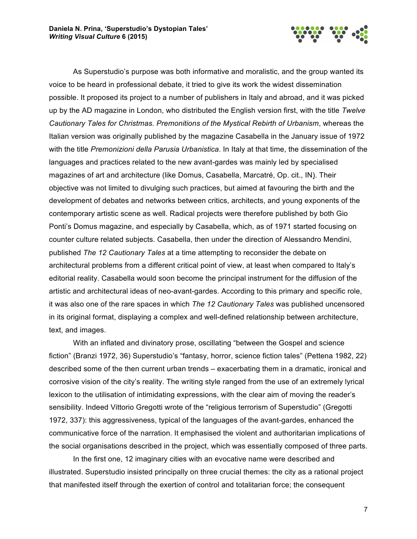

As Superstudio's purpose was both informative and moralistic, and the group wanted its voice to be heard in professional debate, it tried to give its work the widest dissemination possible. It proposed its project to a number of publishers in Italy and abroad, and it was picked up by the AD magazine in London, who distributed the English version first, with the title *Twelve Cautionary Tales for Christmas. Premonitions of the Mystical Rebirth of Urbanism*, whereas the Italian version was originally published by the magazine Casabella in the January issue of 1972 with the title *Premonizioni della Parusia Urbanistica*. In Italy at that time, the dissemination of the languages and practices related to the new avant-gardes was mainly led by specialised magazines of art and architecture (like Domus, Casabella, Marcatré, Op. cit., IN). Their objective was not limited to divulging such practices, but aimed at favouring the birth and the development of debates and networks between critics, architects, and young exponents of the contemporary artistic scene as well. Radical projects were therefore published by both Gio Ponti's Domus magazine, and especially by Casabella, which, as of 1971 started focusing on counter culture related subjects. Casabella, then under the direction of Alessandro Mendini, published *The 12 Cautionary Tales* at a time attempting to reconsider the debate on architectural problems from a different critical point of view, at least when compared to Italy's editorial reality. Casabella would soon become the principal instrument for the diffusion of the artistic and architectural ideas of neo-avant-gardes. According to this primary and specific role, it was also one of the rare spaces in which *The 12 Cautionary Tales* was published uncensored in its original format, displaying a complex and well-defined relationship between architecture, text, and images.

With an inflated and divinatory prose, oscillating "between the Gospel and science fiction" (Branzi 1972, 36) Superstudio's "fantasy, horror, science fiction tales" (Pettena 1982, 22) described some of the then current urban trends – exacerbating them in a dramatic, ironical and corrosive vision of the city's reality. The writing style ranged from the use of an extremely lyrical lexicon to the utilisation of intimidating expressions, with the clear aim of moving the reader's sensibility. Indeed Vittorio Gregotti wrote of the "religious terrorism of Superstudio" (Gregotti 1972, 337): this aggressiveness, typical of the languages of the avant-gardes, enhanced the communicative force of the narration. It emphasised the violent and authoritarian implications of the social organisations described in the project, which was essentially composed of three parts.

In the first one, 12 imaginary cities with an evocative name were described and illustrated. Superstudio insisted principally on three crucial themes: the city as a rational project that manifested itself through the exertion of control and totalitarian force; the consequent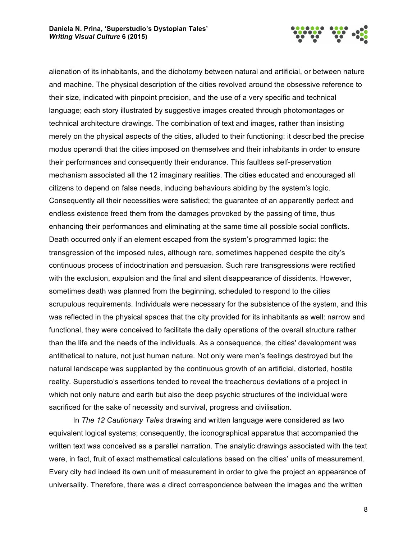

alienation of its inhabitants, and the dichotomy between natural and artificial, or between nature and machine. The physical description of the cities revolved around the obsessive reference to their size, indicated with pinpoint precision, and the use of a very specific and technical language; each story illustrated by suggestive images created through photomontages or technical architecture drawings. The combination of text and images, rather than insisting merely on the physical aspects of the cities, alluded to their functioning: it described the precise modus operandi that the cities imposed on themselves and their inhabitants in order to ensure their performances and consequently their endurance. This faultless self-preservation mechanism associated all the 12 imaginary realities. The cities educated and encouraged all citizens to depend on false needs, inducing behaviours abiding by the system's logic. Consequently all their necessities were satisfied; the guarantee of an apparently perfect and endless existence freed them from the damages provoked by the passing of time, thus enhancing their performances and eliminating at the same time all possible social conflicts. Death occurred only if an element escaped from the system's programmed logic: the transgression of the imposed rules, although rare, sometimes happened despite the city's continuous process of indoctrination and persuasion. Such rare transgressions were rectified with the exclusion, expulsion and the final and silent disappearance of dissidents. However, sometimes death was planned from the beginning, scheduled to respond to the cities scrupulous requirements. Individuals were necessary for the subsistence of the system, and this was reflected in the physical spaces that the city provided for its inhabitants as well: narrow and functional, they were conceived to facilitate the daily operations of the overall structure rather than the life and the needs of the individuals. As a consequence, the cities' development was antithetical to nature, not just human nature. Not only were men's feelings destroyed but the natural landscape was supplanted by the continuous growth of an artificial, distorted, hostile reality. Superstudio's assertions tended to reveal the treacherous deviations of a project in which not only nature and earth but also the deep psychic structures of the individual were sacrificed for the sake of necessity and survival, progress and civilisation.

In *The 12 Cautionary Tales* drawing and written language were considered as two equivalent logical systems; consequently, the iconographical apparatus that accompanied the written text was conceived as a parallel narration. The analytic drawings associated with the text were, in fact, fruit of exact mathematical calculations based on the cities' units of measurement. Every city had indeed its own unit of measurement in order to give the project an appearance of universality. Therefore, there was a direct correspondence between the images and the written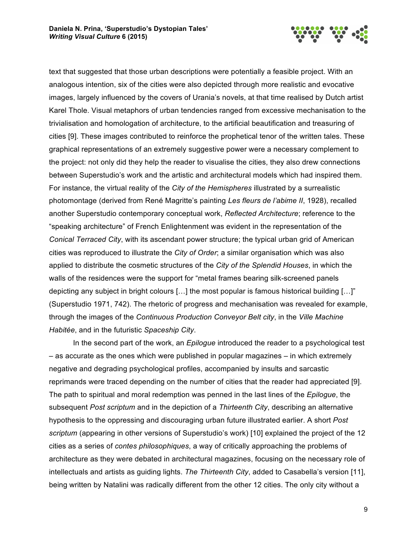

text that suggested that those urban descriptions were potentially a feasible project. With an analogous intention, six of the cities were also depicted through more realistic and evocative images, largely influenced by the covers of Urania's novels, at that time realised by Dutch artist Karel Thole. Visual metaphors of urban tendencies ranged from excessive mechanisation to the trivialisation and homologation of architecture, to the artificial beautification and treasuring of cities [9]. These images contributed to reinforce the prophetical tenor of the written tales. These graphical representations of an extremely suggestive power were a necessary complement to the project: not only did they help the reader to visualise the cities, they also drew connections between Superstudio's work and the artistic and architectural models which had inspired them. For instance, the virtual reality of the *City of the Hemispheres* illustrated by a surrealistic photomontage (derived from René Magritte's painting *Les fleurs de l'abime II*, 1928), recalled another Superstudio contemporary conceptual work, *Reflected Architecture*; reference to the "speaking architecture" of French Enlightenment was evident in the representation of the *Conical Terraced City*, with its ascendant power structure; the typical urban grid of American cities was reproduced to illustrate the *City of Order*; a similar organisation which was also applied to distribute the cosmetic structures of the *City of the Splendid Houses*, in which the walls of the residences were the support for "metal frames bearing silk-screened panels depicting any subject in bright colours […] the most popular is famous historical building […]" (Superstudio 1971, 742). The rhetoric of progress and mechanisation was revealed for example, through the images of the *Continuous Production Conveyor Belt city*, in the *Ville Machine Habitée*, and in the futuristic *Spaceship City*.

In the second part of the work, an *Epilogue* introduced the reader to a psychological test – as accurate as the ones which were published in popular magazines – in which extremely negative and degrading psychological profiles, accompanied by insults and sarcastic reprimands were traced depending on the number of cities that the reader had appreciated [9]. The path to spiritual and moral redemption was penned in the last lines of the *Epilogue*, the subsequent *Post scriptum* and in the depiction of a *Thirteenth City*, describing an alternative hypothesis to the oppressing and discouraging urban future illustrated earlier. A short *Post scriptum* (appearing in other versions of Superstudio's work) [10] explained the project of the 12 cities as a series of *contes philosophiques*, a way of critically approaching the problems of architecture as they were debated in architectural magazines, focusing on the necessary role of intellectuals and artists as guiding lights. *The Thirteenth City*, added to Casabella's version [11], being written by Natalini was radically different from the other 12 cities. The only city without a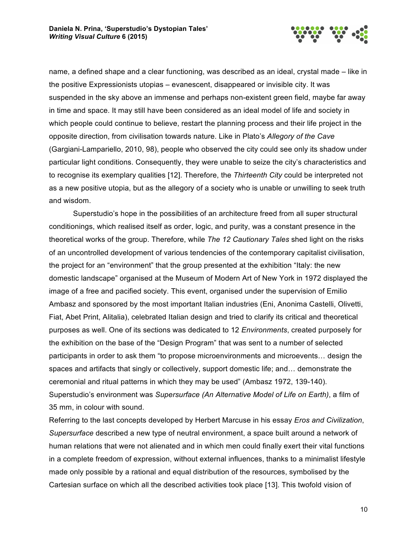

name, a defined shape and a clear functioning, was described as an ideal, crystal made – like in the positive Expressionists utopias – evanescent, disappeared or invisible city. It was suspended in the sky above an immense and perhaps non-existent green field, maybe far away in time and space. It may still have been considered as an ideal model of life and society in which people could continue to believe, restart the planning process and their life project in the opposite direction, from civilisation towards nature. Like in Plato's *Allegory of the Cave* (Gargiani-Lampariello, 2010, 98), people who observed the city could see only its shadow under particular light conditions. Consequently, they were unable to seize the city's characteristics and to recognise its exemplary qualities [12]. Therefore, the *Thirteenth City* could be interpreted not as a new positive utopia, but as the allegory of a society who is unable or unwilling to seek truth and wisdom.

Superstudio's hope in the possibilities of an architecture freed from all super structural conditionings, which realised itself as order, logic, and purity, was a constant presence in the theoretical works of the group. Therefore, while *The 12 Cautionary Tales* shed light on the risks of an uncontrolled development of various tendencies of the contemporary capitalist civilisation, the project for an "environment" that the group presented at the exhibition "Italy: the new domestic landscape" organised at the Museum of Modern Art of New York in 1972 displayed the image of a free and pacified society. This event, organised under the supervision of Emilio Ambasz and sponsored by the most important Italian industries (Eni, Anonima Castelli, Olivetti, Fiat, Abet Print, Alitalia), celebrated Italian design and tried to clarify its critical and theoretical purposes as well. One of its sections was dedicated to 12 *Environments*, created purposely for the exhibition on the base of the "Design Program" that was sent to a number of selected participants in order to ask them "to propose microenvironments and microevents… design the spaces and artifacts that singly or collectively, support domestic life; and… demonstrate the ceremonial and ritual patterns in which they may be used" (Ambasz 1972, 139-140). Superstudio's environment was *Supersurface (An Alternative Model of Life on Earth)*, a film of 35 mm, in colour with sound.

Referring to the last concepts developed by Herbert Marcuse in his essay *Eros and Civilization*, *Supersurface* described a new type of neutral environment, a space built around a network of human relations that were not alienated and in which men could finally exert their vital functions in a complete freedom of expression, without external influences, thanks to a minimalist lifestyle made only possible by a rational and equal distribution of the resources, symbolised by the Cartesian surface on which all the described activities took place [13]. This twofold vision of

10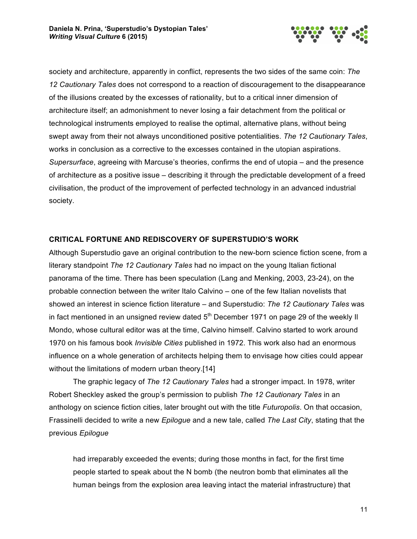

society and architecture, apparently in conflict, represents the two sides of the same coin: *The 12 Cautionary Tales* does not correspond to a reaction of discouragement to the disappearance of the illusions created by the excesses of rationality, but to a critical inner dimension of architecture itself; an admonishment to never losing a fair detachment from the political or technological instruments employed to realise the optimal, alternative plans, without being swept away from their not always unconditioned positive potentialities. *The 12 Cautionary Tales*, works in conclusion as a corrective to the excesses contained in the utopian aspirations. *Supersurface*, agreeing with Marcuse's theories, confirms the end of utopia – and the presence of architecture as a positive issue – describing it through the predictable development of a freed civilisation, the product of the improvement of perfected technology in an advanced industrial society.

## **CRITICAL FORTUNE AND REDISCOVERY OF SUPERSTUDIO'S WORK**

Although Superstudio gave an original contribution to the new-born science fiction scene, from a literary standpoint *The 12 Cautionary Tales* had no impact on the young Italian fictional panorama of the time. There has been speculation (Lang and Menking, 2003, 23-24), on the probable connection between the writer Italo Calvino – one of the few Italian novelists that showed an interest in science fiction literature – and Superstudio: *The 12 Cautionary Tales* was in fact mentioned in an unsigned review dated  $5<sup>th</sup>$  December 1971 on page 29 of the weekly II Mondo, whose cultural editor was at the time, Calvino himself. Calvino started to work around 1970 on his famous book *Invisible Cities* published in 1972. This work also had an enormous influence on a whole generation of architects helping them to envisage how cities could appear without the limitations of modern urban theory.[14]

The graphic legacy of *The 12 Cautionary Tales* had a stronger impact. In 1978, writer Robert Sheckley asked the group's permission to publish *The 12 Cautionary Tales* in an anthology on science fiction cities, later brought out with the title *Futuropolis*. On that occasion, Frassinelli decided to write a new *Epilogue* and a new tale, called *The Last City*, stating that the previous *Epilogue*

had irreparably exceeded the events; during those months in fact, for the first time people started to speak about the N bomb (the neutron bomb that eliminates all the human beings from the explosion area leaving intact the material infrastructure) that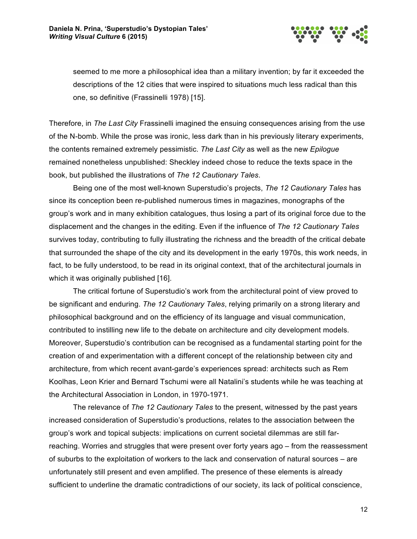

seemed to me more a philosophical idea than a military invention; by far it exceeded the descriptions of the 12 cities that were inspired to situations much less radical than this one, so definitive (Frassinelli 1978) [15].

Therefore, in *The Last City* Frassinelli imagined the ensuing consequences arising from the use of the N-bomb. While the prose was ironic, less dark than in his previously literary experiments, the contents remained extremely pessimistic. *The Last City* as well as the new *Epilogue* remained nonetheless unpublished: Sheckley indeed chose to reduce the texts space in the book, but published the illustrations of *The 12 Cautionary Tales*.

Being one of the most well-known Superstudio's projects, *The 12 Cautionary Tales* has since its conception been re-published numerous times in magazines, monographs of the group's work and in many exhibition catalogues, thus losing a part of its original force due to the displacement and the changes in the editing. Even if the influence of *The 12 Cautionary Tales* survives today, contributing to fully illustrating the richness and the breadth of the critical debate that surrounded the shape of the city and its development in the early 1970s, this work needs, in fact, to be fully understood, to be read in its original context, that of the architectural journals in which it was originally published [16].

The critical fortune of Superstudio's work from the architectural point of view proved to be significant and enduring. *The 12 Cautionary Tales*, relying primarily on a strong literary and philosophical background and on the efficiency of its language and visual communication, contributed to instilling new life to the debate on architecture and city development models. Moreover, Superstudio's contribution can be recognised as a fundamental starting point for the creation of and experimentation with a different concept of the relationship between city and architecture, from which recent avant-garde's experiences spread: architects such as Rem Koolhas, Leon Krier and Bernard Tschumi were all Natalini's students while he was teaching at the Architectural Association in London, in 1970-1971.

The relevance of *The 12 Cautionary Tales* to the present, witnessed by the past years increased consideration of Superstudio's productions, relates to the association between the group's work and topical subjects: implications on current societal dilemmas are still farreaching. Worries and struggles that were present over forty years ago – from the reassessment of suburbs to the exploitation of workers to the lack and conservation of natural sources – are unfortunately still present and even amplified. The presence of these elements is already sufficient to underline the dramatic contradictions of our society, its lack of political conscience,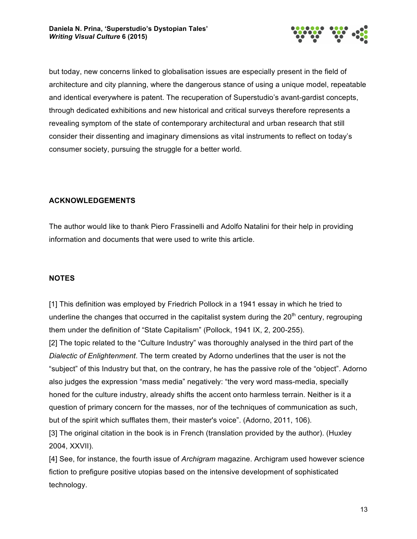

but today, new concerns linked to globalisation issues are especially present in the field of architecture and city planning, where the dangerous stance of using a unique model, repeatable and identical everywhere is patent. The recuperation of Superstudio's avant-gardist concepts, through dedicated exhibitions and new historical and critical surveys therefore represents a revealing symptom of the state of contemporary architectural and urban research that still consider their dissenting and imaginary dimensions as vital instruments to reflect on today's consumer society, pursuing the struggle for a better world.

# **ACKNOWLEDGEMENTS**

The author would like to thank Piero Frassinelli and Adolfo Natalini for their help in providing information and documents that were used to write this article.

# **NOTES**

[1] This definition was employed by Friedrich Pollock in a 1941 essay in which he tried to underline the changes that occurred in the capitalist system during the  $20<sup>th</sup>$  century, regrouping them under the definition of "State Capitalism" (Pollock, 1941 IX, 2, 200-255). [2] The topic related to the "Culture Industry" was thoroughly analysed in the third part of the *Dialectic of Enlightenment*. The term created by Adorno underlines that the user is not the "subject" of this Industry but that, on the contrary, he has the passive role of the "object". Adorno also judges the expression "mass media" negatively: "the very word mass-media, specially honed for the culture industry, already shifts the accent onto harmless terrain. Neither is it a question of primary concern for the masses, nor of the techniques of communication as such, but of the spirit which sufflates them, their master's voice". (Adorno, 2011, 106).

[3] The original citation in the book is in French (translation provided by the author). (Huxley 2004, XXVII).

[4] See, for instance, the fourth issue of *Archigram* magazine. Archigram used however science fiction to prefigure positive utopias based on the intensive development of sophisticated technology.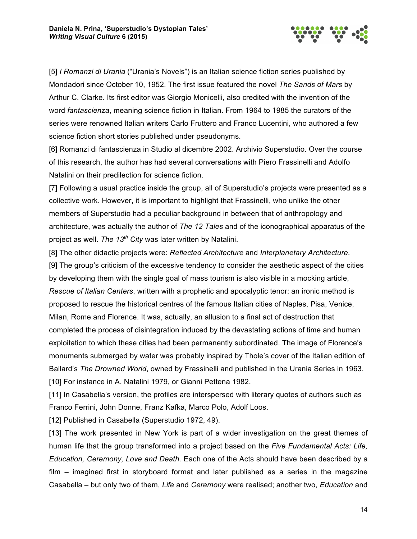

[5] *I Romanzi di Urania* ("Urania's Novels") is an Italian science fiction series published by Mondadori since October 10, 1952. The first issue featured the novel *The Sands of Mars* by Arthur C. Clarke. Its first editor was Giorgio Monicelli, also credited with the invention of the word *fantascienza*, meaning science fiction in Italian. From 1964 to 1985 the curators of the series were renowned Italian writers Carlo Fruttero and Franco Lucentini, who authored a few science fiction short stories published under pseudonyms.

[6] Romanzi di fantascienza in Studio al dicembre 2002. Archivio Superstudio. Over the course of this research, the author has had several conversations with Piero Frassinelli and Adolfo Natalini on their predilection for science fiction.

[7] Following a usual practice inside the group, all of Superstudio's projects were presented as a collective work. However, it is important to highlight that Frassinelli, who unlike the other members of Superstudio had a peculiar background in between that of anthropology and architecture, was actually the author of *The 12 Tales* and of the iconographical apparatus of the project as well. *The 13th City* was later written by Natalini.

[8] The other didactic projects were: *Reflected Architecture* and *Interplanetary Architecture*. [9] The group's criticism of the excessive tendency to consider the aesthetic aspect of the cities by developing them with the single goal of mass tourism is also visible in a mocking article, *Rescue of Italian Centers*, written with a prophetic and apocalyptic tenor: an ironic method is proposed to rescue the historical centres of the famous Italian cities of Naples, Pisa, Venice, Milan, Rome and Florence. It was, actually, an allusion to a final act of destruction that completed the process of disintegration induced by the devastating actions of time and human exploitation to which these cities had been permanently subordinated. The image of Florence's monuments submerged by water was probably inspired by Thole's cover of the Italian edition of Ballard's *The Drowned World*, owned by Frassinelli and published in the Urania Series in 1963. [10] For instance in A. Natalini 1979, or Gianni Pettena 1982.

[11] In Casabella's version, the profiles are interspersed with literary quotes of authors such as Franco Ferrini, John Donne, Franz Kafka, Marco Polo, Adolf Loos.

[12] Published in Casabella (Superstudio 1972, 49).

[13] The work presented in New York is part of a wider investigation on the great themes of human life that the group transformed into a project based on the *Five Fundamental Acts: Life, Education, Ceremony, Love and Death*. Each one of the Acts should have been described by a film – imagined first in storyboard format and later published as a series in the magazine Casabella – but only two of them, *Life* and *Ceremony* were realised; another two, *Education* and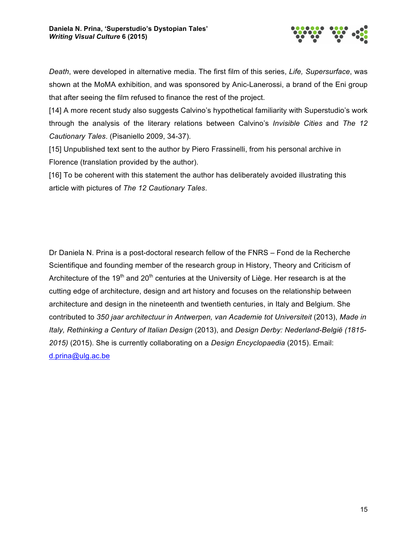

*Death*, were developed in alternative media. The first film of this series, *Life, Supersurface*, was shown at the MoMA exhibition, and was sponsored by Anic-Lanerossi, a brand of the Eni group that after seeing the film refused to finance the rest of the project.

[14] A more recent study also suggests Calvino's hypothetical familiarity with Superstudio's work through the analysis of the literary relations between Calvino's *Invisible Cities* and *The 12 Cautionary Tales*. (Pisaniello 2009, 34-37).

[15] Unpublished text sent to the author by Piero Frassinelli, from his personal archive in Florence (translation provided by the author).

[16] To be coherent with this statement the author has deliberately avoided illustrating this article with pictures of *The 12 Cautionary Tales*.

Dr Daniela N. Prina is a post-doctoral research fellow of the FNRS – Fond de la Recherche Scientifique and founding member of the research group in History, Theory and Criticism of Architecture of the 19<sup>th</sup> and 20<sup>th</sup> centuries at the University of Liège. Her research is at the cutting edge of architecture, design and art history and focuses on the relationship between architecture and design in the nineteenth and twentieth centuries, in Italy and Belgium. She contributed to *350 jaar architectuur in Antwerpen, van Academie tot Universiteit* (2013), *Made in Italy, Rethinking a Century of Italian Design* (2013), and *Design Derby: Nederland-België (1815- 2015)* (2015). She is currently collaborating on a *Design Encyclopaedia* (2015). Email: d.prina@ulg.ac.be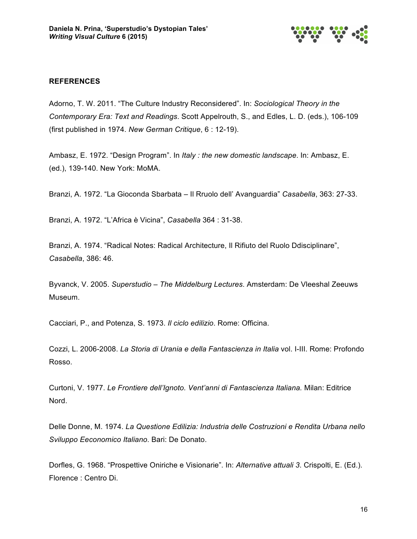

## **REFERENCES**

Adorno, T. W. 2011. "The Culture Industry Reconsidered". In: *Sociological Theory in the Contemporary Era: Text and Readings*. Scott Appelrouth, S., and Edles, L. D. (eds.), 106-109 (first published in 1974. *New German Critique*, 6 : 12-19).

Ambasz, E. 1972. "Design Program". In *Italy : the new domestic landscape*. In: Ambasz, E. (ed.), 139-140. New York: MoMA.

Branzi, A. 1972. "La Gioconda Sbarbata – Il Rruolo dell' Avanguardia" *Casabella*, 363: 27-33.

Branzi, A. 1972. "L'Africa è Vicina", *Casabella* 364 : 31-38.

Branzi, A. 1974. "Radical Notes: Radical Architecture, Il Rifiuto del Ruolo Ddisciplinare", *Casabella*, 386: 46.

Byvanck, V. 2005. *Superstudio – The Middelburg Lectures*. Amsterdam: De Vleeshal Zeeuws Museum.

Cacciari, P., and Potenza, S. 1973. *Il ciclo edilizio*. Rome: Officina.

Cozzi, L. 2006-2008. *La Storia di Urania e della Fantascienza in Italia* vol. I-III. Rome: Profondo Rosso.

Curtoni, V. 1977. *Le Frontiere dell'Ignoto. Vent'anni di Fantascienza Italiana.* Milan: Editrice Nord.

Delle Donne, M. 1974. *La Questione Edilizia: Industria delle Costruzioni e Rendita Urbana nello Sviluppo Eeconomico Italiano*. Bari: De Donato.

Dorfles, G. 1968. "Prospettive Oniriche e Visionarie". In: *Alternative attuali 3*. Crispolti, E. (Ed.). Florence : Centro Di.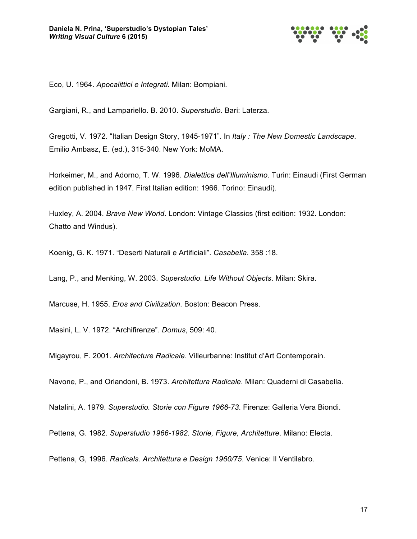

Eco, U. 1964. *Apocalittici e Integrati*. Milan: Bompiani.

Gargiani, R., and Lampariello. B. 2010. *Superstudio*. Bari: Laterza.

Gregotti, V. 1972. "Italian Design Story, 1945-1971". In *Italy : The New Domestic Landscape*. Emilio Ambasz, E. (ed.), 315-340. New York: MoMA.

Horkeimer, M., and Adorno, T. W. 1996. *Dialettica dell'Illuminismo.* Turin: Einaudi (First German edition published in 1947. First Italian edition: 1966. Torino: Einaudi).

Huxley, A. 2004. *Brave New World*. London: Vintage Classics (first edition: 1932. London: Chatto and Windus).

Koenig, G. K. 1971. "Deserti Naturali e Artificiali". *Casabella*. 358 :18.

Lang, P., and Menking, W. 2003. *Superstudio. Life Without Objects*. Milan: Skira.

Marcuse, H. 1955. *Eros and Civilization*. Boston: Beacon Press.

Masini, L. V. 1972. "Archifirenze". *Domus*, 509: 40.

Migayrou, F. 2001. *Architecture Radicale*. Villeurbanne: Institut d'Art Contemporain.

Navone, P., and Orlandoni, B. 1973. *Architettura Radicale*. Milan: Quaderni di Casabella.

Natalini, A. 1979. *Superstudio. Storie con Figure 1966-73*. Firenze: Galleria Vera Biondi.

Pettena, G. 1982. *Superstudio 1966-1982. Storie, Figure, Architetture*. Milano: Electa.

Pettena, G, 1996. *Radicals. Architettura e Design 1960/75*. Venice: Il Ventilabro.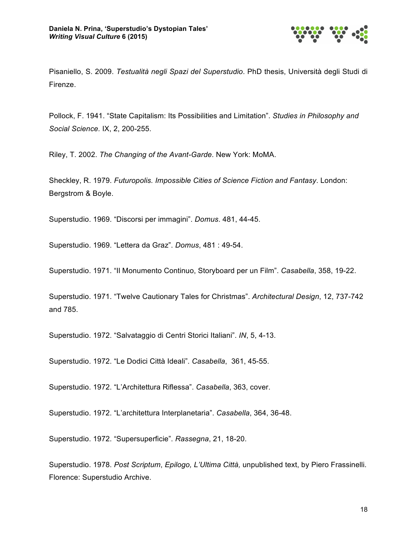

Pisaniello, S. 2009. *Testualità negli Spazi del Superstudio*. PhD thesis, Università degli Studi di Firenze.

Pollock, F. 1941. "State Capitalism: Its Possibilities and Limitation". *Studies in Philosophy and Social Science.* IX, 2, 200-255.

Riley, T. 2002. *The Changing of the Avant-Garde*. New York: MoMA.

Sheckley, R. 1979. *Futuropolis. Impossible Cities of Science Fiction and Fantasy*. London: Bergstrom & Boyle.

Superstudio. 1969. "Discorsi per immagini". *Domus*. 481, 44-45.

Superstudio. 1969. "Lettera da Graz". *Domus*, 481 : 49-54.

Superstudio. 1971. "Il Monumento Continuo, Storyboard per un Film". *Casabella*, 358, 19-22.

Superstudio. 1971. "Twelve Cautionary Tales for Christmas". *Architectural Design*, 12, 737-742 and 785.

Superstudio. 1972. "Salvataggio di Centri Storici Italiani". *IN*, 5, 4-13.

Superstudio. 1972. "Le Dodici Città Ideali". *Casabella*, 361, 45-55.

Superstudio. 1972. "L'Architettura Riflessa". *Casabella*, 363, cover.

Superstudio. 1972. "L'architettura Interplanetaria". *Casabella*, 364, 36-48.

Superstudio. 1972. "Supersuperficie". *Rassegna*, 21, 18-20.

Superstudio. 1978. *Post Scriptum*, *Epilogo, L'Ultima Città,* unpublished text, by Piero Frassinelli. Florence: Superstudio Archive.